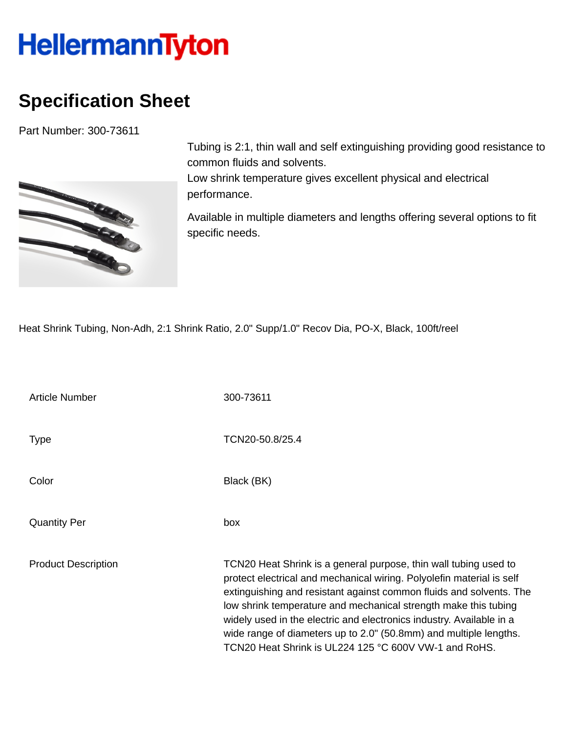## **HellermannTyton**

## **Specification Sheet**

Part Number: 300-73611



Tubing is 2:1, thin wall and self extinguishing providing good resistance to common fluids and solvents.

Low shrink temperature gives excellent physical and electrical performance.

Available in multiple diameters and lengths offering several options to fit specific needs.

Heat Shrink Tubing, Non-Adh, 2:1 Shrink Ratio, 2.0" Supp/1.0" Recov Dia, PO-X, Black, 100ft/reel

| <b>Article Number</b>      | 300-73611                                                                                                                                                                                                                                                                                                                                                                                                                                                                                 |
|----------------------------|-------------------------------------------------------------------------------------------------------------------------------------------------------------------------------------------------------------------------------------------------------------------------------------------------------------------------------------------------------------------------------------------------------------------------------------------------------------------------------------------|
| <b>Type</b>                | TCN20-50.8/25.4                                                                                                                                                                                                                                                                                                                                                                                                                                                                           |
| Color                      | Black (BK)                                                                                                                                                                                                                                                                                                                                                                                                                                                                                |
| <b>Quantity Per</b>        | box                                                                                                                                                                                                                                                                                                                                                                                                                                                                                       |
| <b>Product Description</b> | TCN20 Heat Shrink is a general purpose, thin wall tubing used to<br>protect electrical and mechanical wiring. Polyolefin material is self<br>extinguishing and resistant against common fluids and solvents. The<br>low shrink temperature and mechanical strength make this tubing<br>widely used in the electric and electronics industry. Available in a<br>wide range of diameters up to 2.0" (50.8mm) and multiple lengths.<br>TCN20 Heat Shrink is UL224 125 °C 600V VW-1 and RoHS. |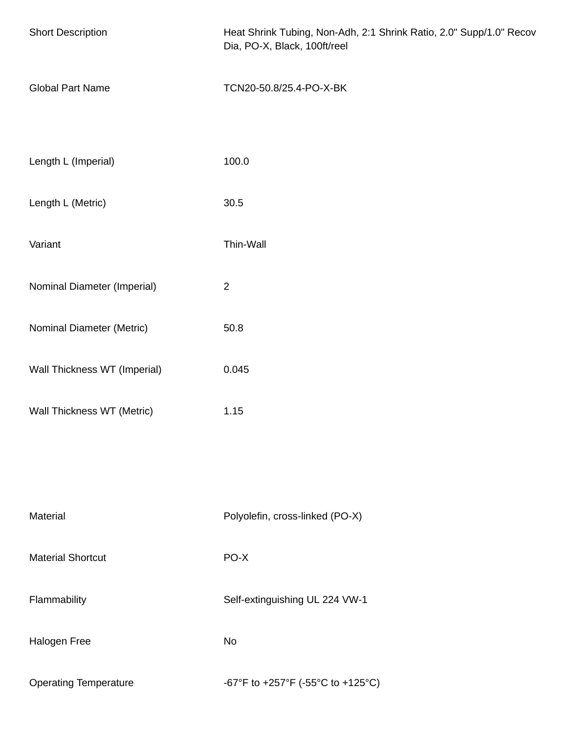| <b>Short Description</b>     | Heat Shrink Tubing, Non-Adh, 2:1 Shrink Ratio, 2.0" Supp/1.0" Recov<br>Dia, PO-X, Black, 100ft/reel |
|------------------------------|-----------------------------------------------------------------------------------------------------|
| <b>Global Part Name</b>      | TCN20-50.8/25.4-PO-X-BK                                                                             |
| Length L (Imperial)          | 100.0                                                                                               |
| Length L (Metric)            | 30.5                                                                                                |
| Variant                      | Thin-Wall                                                                                           |
| Nominal Diameter (Imperial)  | $\overline{2}$                                                                                      |
| Nominal Diameter (Metric)    | 50.8                                                                                                |
| Wall Thickness WT (Imperial) | 0.045                                                                                               |
| Wall Thickness WT (Metric)   | 1.15                                                                                                |
|                              |                                                                                                     |
| Material                     | Polyolefin, cross-linked (PO-X)                                                                     |
| <b>Material Shortcut</b>     | PO-X                                                                                                |
| Flammability                 | Self-extinguishing UL 224 VW-1                                                                      |
| Halogen Free                 | <b>No</b>                                                                                           |
| <b>Operating Temperature</b> | -67°F to +257°F (-55°C to +125°C)                                                                   |